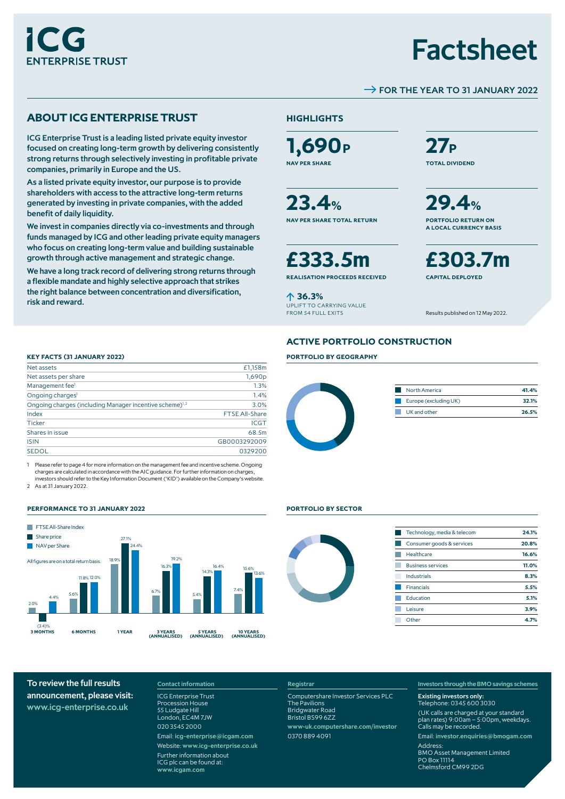

# Factsheet

# $\rightarrow$  FOR THE YEAR TO 31 JANUARY 2022

# **ABOUT ICG ENTERPRISE TRUST HIGHLIGHTS**

ICG Enterprise Trust is a leading listed private equity investor focused on creating long-term growth by delivering consistently strong returns through selectively investing in profitable private companies, primarily in Europe and the US.

As a listed private equity investor, our purpose is to provide shareholders with access to the attractive long-term returns generated by investing in private companies, with the added benefit of daily liquidity.

We invest in companies directly via co-investments and through funds managed by ICG and other leading private equity managers who focus on creating long-term value and building sustainable growth through active management and strategic change.

We have a long track record of delivering strong returns through a flexible mandate and highly selective approach that strikes the right balance between concentration and diversification, risk and reward.



**23.4% NAV PER SHARE TOTAL RETURN** 

**£333.5m REALISATION PROCEEDS RECEIVED** 

 **36.3%** UPLIFT TO CARRYING VALUE

FROM 54 FULL EXITS

**PORTFOLIO BY GEOGRAPHY**

**ACTIVE PORTFOLIO CONSTRUCTION**

m. П

**27P TOTAL DIVIDEND**

**29.4% PORTFOLIO RETURN ON A LOCAL CURRENCY BASIS**

**£303.7m CAPITAL DEPLOYED** 

Results published on 12 May 2022.

North America **41.4%** Europe (excluding UK) **32.1%** UK and other **26.5%**

#### **KEY FACTS (31 JANUARY 2022)**

| Net assets                                                          | £1,158m               |
|---------------------------------------------------------------------|-----------------------|
| Net assets per share                                                | 1,690 <sub>p</sub>    |
| Management fee <sup>1</sup>                                         | 1.3%                  |
| Ongoing charges <sup>1</sup>                                        | 1.4%                  |
| Ongoing charges (including Manager incentive scheme) <sup>1,2</sup> | 3.0%                  |
| Index                                                               | <b>FTSE All-Share</b> |
| Ticker                                                              | <b>ICGT</b>           |
| Shares in issue                                                     | 68.5m                 |
| <b>ISIN</b>                                                         | GB0003292009          |
| <b>SEDOL</b>                                                        | 0329200               |

1 Please refer to page 4 for more information on the management fee and incentive scheme. Ongoing charges are calculated in accordance with the AIC guidance. For further information on charges, investors should refer to the Key Information Document ('KID') available on the Company's website. 2 As at 31 January 2022.

#### **PERFORMANCE TO 31 JANUARY 2022 PORTFOLIO BY SECTOR**





| Technology, media & telecom | 24.1% |
|-----------------------------|-------|
| Consumer goods & services   | 20.8% |
| Healthcare                  | 16.6% |
| <b>Business services</b>    | 11.0% |
| <b>Industrials</b>          | 8.3%  |
| <b>Financials</b>           | 5.5%  |
| Education                   | 5.1%  |
| Leisure                     | 3.9%  |
| Other                       | 4.7%  |

To review the full results announcement, please visit: www.icg-enterprise.co.uk

# Contact information

ICG Enterprise Trust Procession House 55 Ludgate Hill London, EC4M 7JW 020 3545 2000 Email: icg-enterprise@icgam.com Website: www.icg-enterprise.co.uk Further information about ICG plc can be found at: www.icgam.com

### Registrar

Computershare Investor Services PLC The Pavilions Bridgwater Road Bristol BS99 6ZZ www-uk.computershare.com/investor

0370 889 4091

#### Investors through the BMO savings schemes

Existing investors only: Telephone: 0345 600 3030 (UK calls are charged at your standard plan rates) 9:00am – 5:00pm, weekdays. Calls may be recorded. Email: investor.enquiries@bmogam.com Address: BMO Asset Management Limited PO Box 11114 Chelmsford CM99 2DG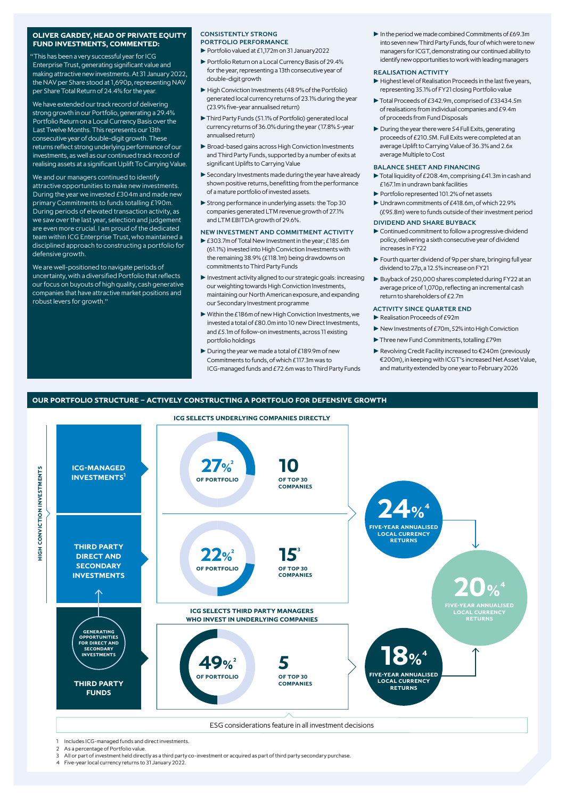#### **OLIVER GARDEY, HEAD OF PRIVATE EQUITY FUND INVESTMENTS, COMMENTED:**

"This has been a very successful year for ICG Enterprise Trust, generating significant value and making attractive new investments. At 31 January 2022, the NAV per Share stood at 1,690p, representing NAV per Share Total Return of 24.4% for the year.

We have extended our track record of delivering strong growth in our Portfolio, generating a 29.4% Portfolio Return on a Local Currency Basis over the Last Twelve Months. This represents our 13th consecutive year of double-digit growth. These returns reflect strong underlying performance of our investments, as well as our continued track record of realising assets at a significant Uplift To Carrying Value.

We and our managers continued to identify attractive opportunities to make new investments. During the year we invested £304m and made new primary Commitments to funds totalling £190m. During periods of elevated transaction activity, as we saw over the last year, selection and judgement are even more crucial. I am proud of the dedicated team within ICG Enterprise Trust, who maintained a disciplined approach to constructing a portfolio for defensive growth.

We are well-positioned to navigate periods of uncertainty, with a diversified Portfolio that reflects our focus on buyouts of high quality, cash generative companies that have attractive market positions and robust levers for growth."

#### CONSISTENTLY STRONG PORTFOLIO PERFORMANCE

►Portfolio valued at £1,172m on 31 January2022

- ►Portfolio Return on a Local Currency Basis of 29.4% for the year, representing a 13th consecutive year of double-digit growth
- ►High Conviction Investments (48.9% of the Portfolio) generated local currency returns of 23.1% during the year (23.9% five-year annualised return)
- ►Third Party Funds (51.1% of Portfolio) generated local currency returns of 36.0% during the year (17.8% 5-year annualised return)
- ▶ Broad-based gains across High Conviction Investments and Third Party Funds, supported by a number of exits at significant Uplifts to Carrying Value
- ►Secondary Investments made during the year have already shown positive returns, benefitting from the performance of a mature portfolio of invested assets.
- ►Strong performance in underlying assets: the Top 30 companies generated LTM revenue growth of 27.1% and LTM EBITDA growth of 29.6%.

#### NEW INVESTMENT AND COMMITMENT ACTIVITY

- ►£303.7m of Total New Investment in the year; £185.6m (61.1%) invested into High Conviction Investments with the remaining 38.9% (£118.1m) being drawdowns on commitments to Third Party Funds
- ►Investment activity aligned to our strategic goals: increasing our weighting towards High Conviction Investments, maintaining our North American exposure, and expanding our Secondary Investment programme
- ►Within the £186m of new High Conviction Investments, we invested a total of £80.0m into 10 new Direct Investments, and £5.1m of follow-on investments, across 11 existing portfolio holdings
- $\blacktriangleright$  During the year we made a total of  $f189.9$ m of new Commitments to funds, of which £117.3m was to ICG-managed funds and £72.6m was to Third Party Funds

 $\blacktriangleright$  In the period we made combined Commitments of £69.3m into seven new Third Party Funds, four of which were to new managers for ICGT, demonstrating our continued ability to identify new opportunities to work with leading managers

#### REALISATION ACTIVITY

- ► Highest level of Realisation Proceeds in the last five years, representing 35.1% of FY21 closing Portfolio value
- ►Total Proceeds of £342.9m, comprised of £33434.5m of realisations from individual companies and £9.4m of proceeds from Fund Disposals
- ►During the year there were 54 Full Exits, generating proceeds of £210.5M. Full Exits were completed at an average Uplift to Carrying Value of 36.3% and 2.6x average Multiple to Cost

#### BALANCE SHEET AND FINANCING

- ►Total liquidity of £208.4m, comprising £41.3m in cash and £167.1m in undrawn bank facilities
- ►Portfolio represented 101.2% of net assets
- ►Undrawn commitments of £418.6m, of which 22.9% (£95.8m) were to funds outside of their investment period

#### DIVIDEND AND SHARE BUYBACK

- ►Continued commitment to follow a progressive dividend policy, delivering a sixth consecutive year of dividend increases in FY22
- ►Fourth quarter dividend of 9p per share, bringing full year dividend to 27p, a 12.5% increase on FY21
- ►Buyback of 250,000 shares completed during FY22 at an average price of 1,070p, reflecting an incremental cash return to shareholders of £2.7m

#### ACTIVITY SINCE QUARTER END

- ►Realisation Proceeds of £92m
- ►New Investments of £70m, 52% into High Conviction
- ►Three new Fund Commitments, totalling £79m
- ►Revolving Credit Facility increased to €240m (previously €200m), in keeping with ICGT's increased Net Asset Value, and maturity extended by one year to February 2026



1 Includes ICG-managed funds and direct investments.

As a percentage of Portfolio value.

3 All or part of investment held directly as a third party co-investment or acquired as part of third party secondary purchase. 4 Five-year local currency returns to 31 January 2022.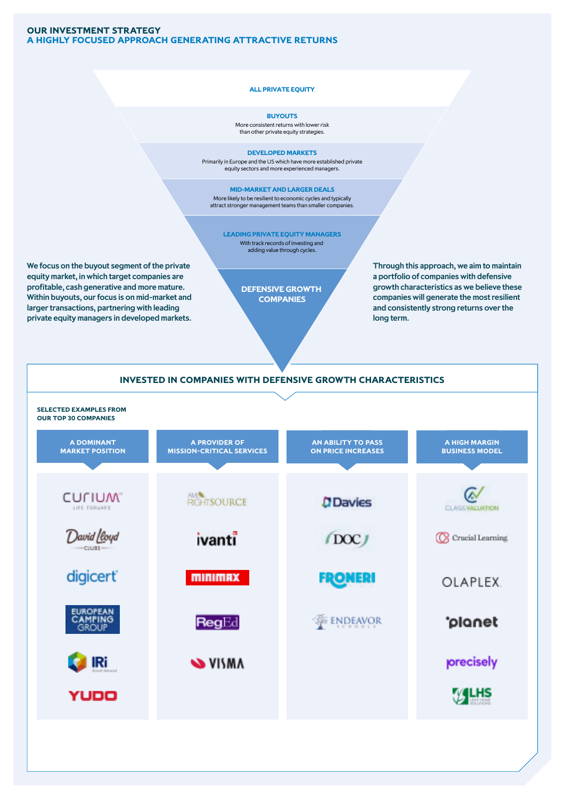#### **OUR INVESTMENT STRATEGY A HIGHLY FOCUSED APPROACH GENERATING ATTRACTIVE RETURNS**

#### **ALL PRIVATE EQUITY**

#### **BUYOUTS**

More consistent returns with lower risk than other private equity strategies.

**DEVELOPED MARKETS**

Primarily in Europe and the US which have more established private equity sectors and more experienced managers.

**MID-MARKET AND LARGER DEALS** More likely to be resilient to economic cycles and typically attract stronger management teams than smaller companies.

**LEADING PRIVATE EQUITY MANAGERS** With track records of investing and adding value through cycles.

We focus on the buyout segment of the private equity market, in which target companies are profitable, cash generative and more mature. Within buyouts, our focus is on mid-market and larger transactions, partnering with leading private equity managers in developed markets.

**DEFENSIVE GROWTH COMPANIES**

Through this approach, we aim to maintain a portfolio of companies with defensive growth characteristics as we believe these companies will generate the most resilient and consistently strong returns over the long term.